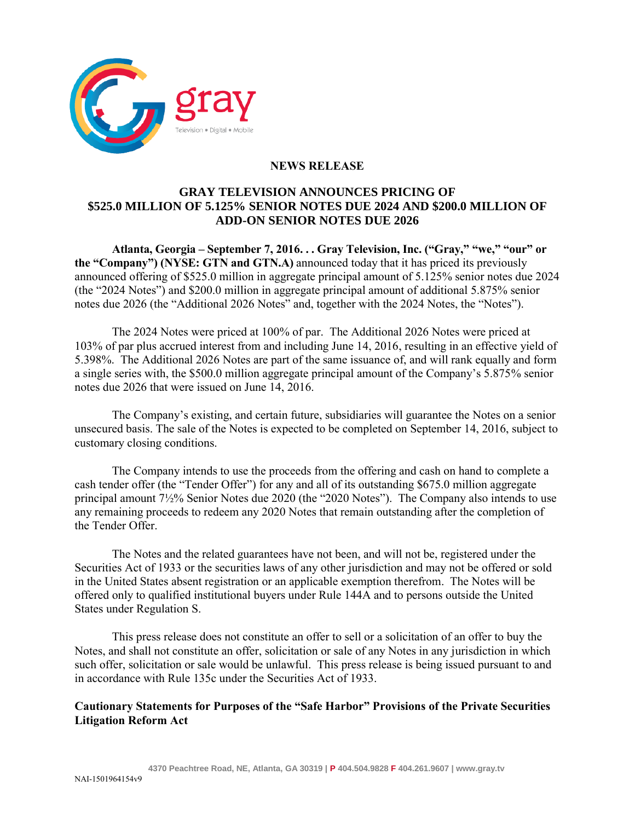

## **NEWS RELEASE**

## **GRAY TELEVISION ANNOUNCES PRICING OF \$525.0 MILLION OF 5.125% SENIOR NOTES DUE 2024 AND \$200.0 MILLION OF ADD-ON SENIOR NOTES DUE 2026**

**Atlanta, Georgia – September 7, 2016. . . Gray Television, Inc. ("Gray," "we," "our" or the "Company") (NYSE: GTN and GTN.A)** announced today that it has priced its previously announced offering of \$525.0 million in aggregate principal amount of 5.125% senior notes due 2024 (the "2024 Notes") and \$200.0 million in aggregate principal amount of additional 5.875% senior notes due 2026 (the "Additional 2026 Notes" and, together with the 2024 Notes, the "Notes").

The 2024 Notes were priced at 100% of par. The Additional 2026 Notes were priced at 103% of par plus accrued interest from and including June 14, 2016, resulting in an effective yield of 5.398%. The Additional 2026 Notes are part of the same issuance of, and will rank equally and form a single series with, the \$500.0 million aggregate principal amount of the Company's 5.875% senior notes due 2026 that were issued on June 14, 2016.

The Company's existing, and certain future, subsidiaries will guarantee the Notes on a senior unsecured basis. The sale of the Notes is expected to be completed on September 14, 2016, subject to customary closing conditions.

The Company intends to use the proceeds from the offering and cash on hand to complete a cash tender offer (the "Tender Offer") for any and all of its outstanding \$675.0 million aggregate principal amount 7½% Senior Notes due 2020 (the "2020 Notes"). The Company also intends to use any remaining proceeds to redeem any 2020 Notes that remain outstanding after the completion of the Tender Offer.

The Notes and the related guarantees have not been, and will not be, registered under the Securities Act of 1933 or the securities laws of any other jurisdiction and may not be offered or sold in the United States absent registration or an applicable exemption therefrom. The Notes will be offered only to qualified institutional buyers under Rule 144A and to persons outside the United States under Regulation S.

This press release does not constitute an offer to sell or a solicitation of an offer to buy the Notes, and shall not constitute an offer, solicitation or sale of any Notes in any jurisdiction in which such offer, solicitation or sale would be unlawful. This press release is being issued pursuant to and in accordance with Rule 135c under the Securities Act of 1933.

## **Cautionary Statements for Purposes of the "Safe Harbor" Provisions of the Private Securities Litigation Reform Act**